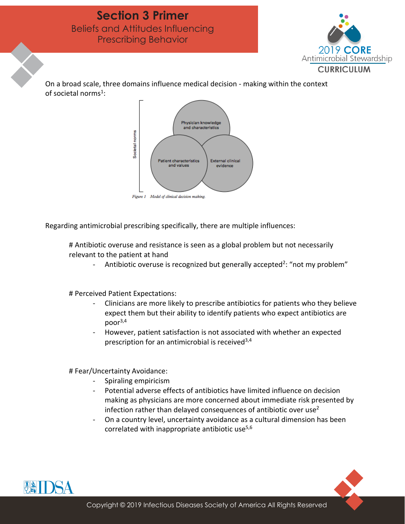

On a broad scale, three domains influence medical decision - making within the context of societal norms<sup>1</sup>:



Regarding antimicrobial prescribing specifically, there are multiple influences:

# Antibiotic overuse and resistance is seen as a global problem but not necessarily relevant to the patient at hand

Antibiotic overuse is recognized but generally accepted<sup>2</sup>: "not my problem"

# Perceived Patient Expectations:

- Clinicians are more likely to prescribe antibiotics for patients who they believe expect them but their ability to identify patients who expect antibiotics are  $poor<sup>3,4</sup>$
- However, patient satisfaction is not associated with whether an expected prescription for an antimicrobial is received  $3,4$

# Fear/Uncertainty Avoidance:

- Spiraling empiricism
- Potential adverse effects of antibiotics have limited influence on decision making as physicians are more concerned about immediate risk presented by infection rather than delayed consequences of antibiotic over use<sup>2</sup>
- On a country level, uncertainty avoidance as a cultural dimension has been correlated with inappropriate antibiotic use<sup>5,6</sup>

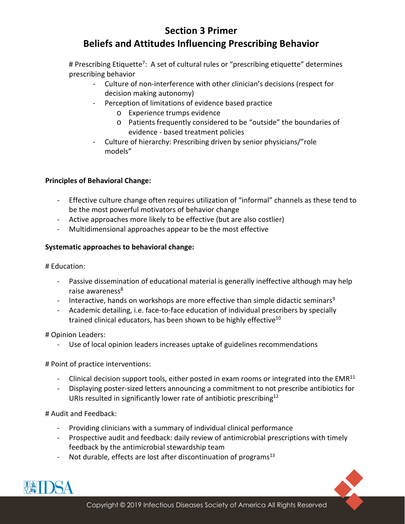# Prescribing Etiquette<sup>7</sup>: A set of cultural rules or "prescribing etiquette" determines prescribing behavior

- Culture of non-interference with other clinician's decisions (respect for decision making autonomy)
- Perception of limitations of evidence based practice
	- o Experience trumps evidence
	- o Patients frequently considered to be "outside" the boundaries of evidence - based treatment policies
- Culture of hierarchy: Prescribing driven by senior physicians/"role models"

## **Principles of Behavioral Change:**

- Effective culture change often requires utilization of "informal" channels as these tend to be the most powerful motivators of behavior change
- Active approaches more likely to be effective (but are also costlier)
- Multidimensional approaches appear to be the most effective

## **Systematic approaches to behavioral change:**

# Education:

- Passive dissemination of educational material is generally ineffective although may help raise awareness<sup>8</sup>
- Interactive, hands on workshops are more effective than simple didactic seminars<sup>9</sup>
- Academic detailing, i.e. face-to-face education of individual prescribers by specially trained clinical educators, has been shown to be highly effective<sup>10</sup>

# Opinion Leaders:

- Use of local opinion leaders increases uptake of guidelines recommendations

# Point of practice interventions:

- Clinical decision support tools, either posted in exam rooms or integrated into the  $EMR<sup>11</sup>$
- Displaying poster-sized letters announcing a commitment to not prescribe antibiotics for URIs resulted in significantly lower rate of antibiotic prescribing<sup>12</sup>

### # Audit and Feedback:

- Providing clinicians with a summary of individual clinical performance
- Prospective audit and feedback: daily review of antimicrobial prescriptions with timely feedback by the antimicrobial stewardship team
- Not durable, effects are lost after discontinuation of programs<sup>13</sup>

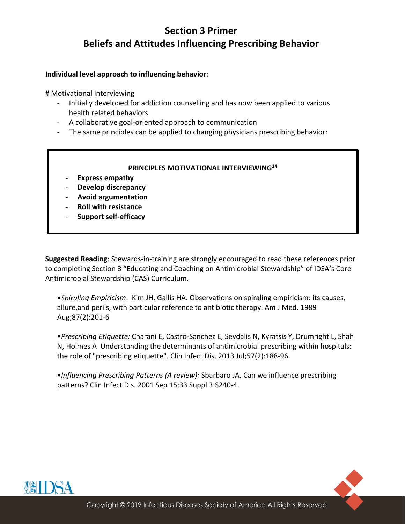#### **Individual level approach to influencing behavior**:

# Motivational Interviewing

- Initially developed for addiction counselling and has now been applied to various health related behaviors
- A collaborative goal-oriented approach to communication
- The same principles can be applied to changing physicians prescribing behavior:

#### **PRINCIPLES MOTIVATIONAL INTERVIEWING14**

- **Express empathy**
- **Develop discrepancy**
- **Avoid argumentation**
- **Roll with resistance**
- **Support self-efficacy**

**Suggested Reading**: Stewards-in-training are strongly encouraged to read these references prior to completing Section 3 "Educating and Coaching on Antimicrobial Stewardship" of IDSA's Core Antimicrobial Stewardship (CAS) Curriculum.

*•Spiraling Empiricism*: Kim JH, Gallis HA. Observations on spiraling empiricism: its causes, allure,and perils, with particular reference to antibiotic therapy. Am J Med. 1989 Aug;87(2):201-6

*•Prescribing Etiquette:* Charani E, Castro-Sanchez E, Sevdalis N, Kyratsis Y, Drumright L, Shah N, Holmes A Understanding the determinants of antimicrobial prescribing within hospitals: the role of "prescribing etiquette". Clin Infect Dis. 2013 Jul;57(2):188-96.

*•Influencing Prescribing Patterns (A review):* Sbarbaro JA. Can we influence prescribing patterns? Clin Infect Dis. 2001 Sep 15;33 Suppl 3:S240-4.